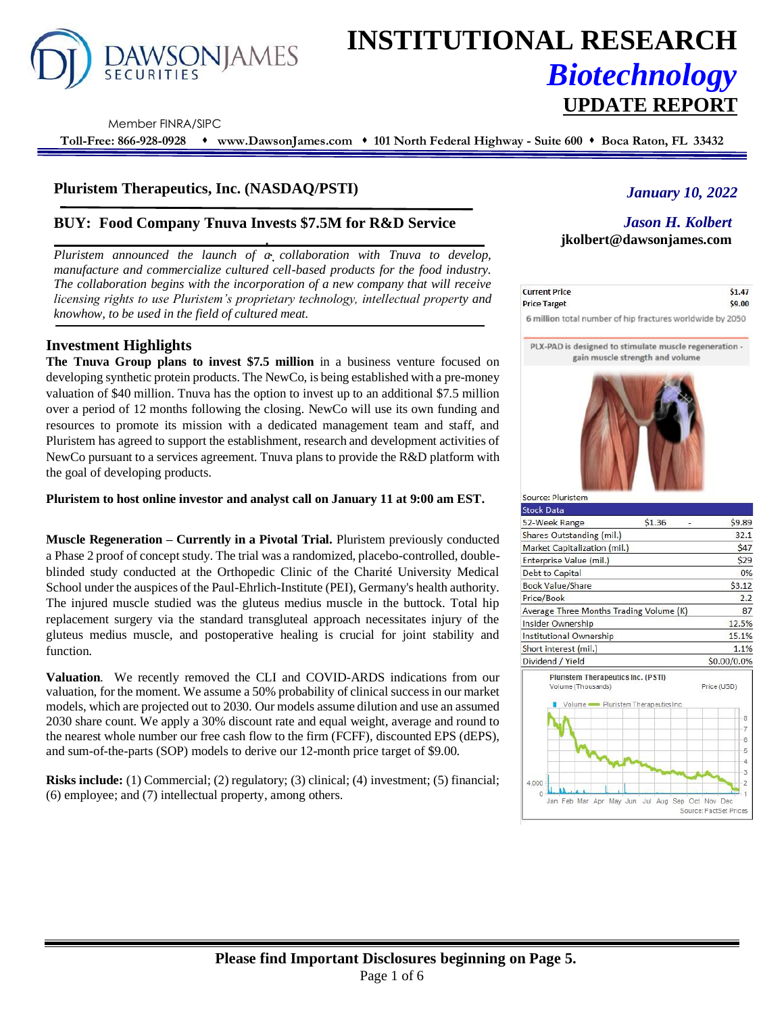

# **INSTITUTIONAL RESEARCH** *Biotechnology* **UPDATE REPORT**

Member FINRA/SIPC

**Toll-Free: 866-928-0928** ⬧ **www.DawsonJames.com** ⬧ **101 North Federal Highway - Suite 600** ⬧ **Boca Raton, FL 33432**

## **Pluristem Therapeutics, Inc. (NASDAQ/PSTI)**

## **BUY: Food Company Tnuva Invests \$7.5M for R&D Service**

*Pluristem announced the launch of a collaboration with Tnuva to develop, manufacture and commercialize cultured cell-based products for the food industry. The collaboration begins with the incorporation of a new company that will receive licensing rights to use Pluristem's proprietary technology, intellectual property and knowhow, to be used in the field of cultured meat.*

## **Investment Highlights**

**The Tnuva Group plans to invest \$7.5 million** in a business venture focused on developing synthetic protein products. The NewCo, is being established with a pre-money valuation of \$40 million. Tnuva has the option to invest up to an additional \$7.5 million over a period of 12 months following the closing. NewCo will use its own funding and resources to promote its mission with a dedicated management team and staff, and Pluristem has agreed to support the establishment, research and development activities of NewCo pursuant to a services agreement. Tnuva plans to provide the R&D platform with the goal of developing products.

**Pluristem to host online investor and analyst call on January 11 at 9:00 am EST.**

**Muscle Regeneration – Currently in a Pivotal Trial.** Pluristem previously conducted a Phase 2 proof of concept study. The trial was a randomized, placebo-controlled, doubleblinded study conducted at the Orthopedic Clinic of the Charité University Medical School under the auspices of the Paul-Ehrlich-Institute (PEI), Germany's health authority. The injured muscle studied was the gluteus medius muscle in the buttock. Total hip replacement surgery via the standard transgluteal approach necessitates injury of the gluteus medius muscle, and postoperative healing is crucial for joint stability and function.

**Valuation**. We recently removed the CLI and COVID-ARDS indications from our valuation, for the moment. We assume a 50% probability of clinical success in our market models, which are projected out to 2030. Our models assume dilution and use an assumed 2030 share count. We apply a 30% discount rate and equal weight, average and round to the nearest whole number our free cash flow to the firm (FCFF), discounted EPS (dEPS), and sum-of-the-parts (SOP) models to derive our 12-month price target of \$9.00.

**Risks include:** (1) Commercial; (2) regulatory; (3) clinical; (4) investment; (5) financial; (6) employee; and (7) intellectual property, among others.

# *January 10, 2022*

# *Jason H. Kolbert* **jkolbert@dawsonjames.com**

| <b>Current Price</b> | \$1.47 |
|----------------------|--------|
| <b>Price Target</b>  | \$9.00 |

6 million total number of hip fractures worldwide by 2050

PLX-PAD is designed to stimulate muscle regeneration gain muscle strength and volume



| \$1.36                                    | \$9.89                                                                        |
|-------------------------------------------|-------------------------------------------------------------------------------|
|                                           | 32.1                                                                          |
|                                           | \$47                                                                          |
|                                           | \$29                                                                          |
|                                           | 0%                                                                            |
|                                           | \$3.12                                                                        |
|                                           | 2.2                                                                           |
|                                           | 87                                                                            |
|                                           | 12.5%                                                                         |
|                                           | 15.1%                                                                         |
|                                           | 1.1%                                                                          |
|                                           | \$0.00/0.0%                                                                   |
| <b>Pluristem Therapeutics Inc. (PSTI)</b> | Price (USD)                                                                   |
|                                           | 8<br>7<br>6<br>5<br>4<br>3<br>2                                               |
|                                           | Average Three Months Trading Volume (K)<br>Volume Pluristem Therapeutics Inc. |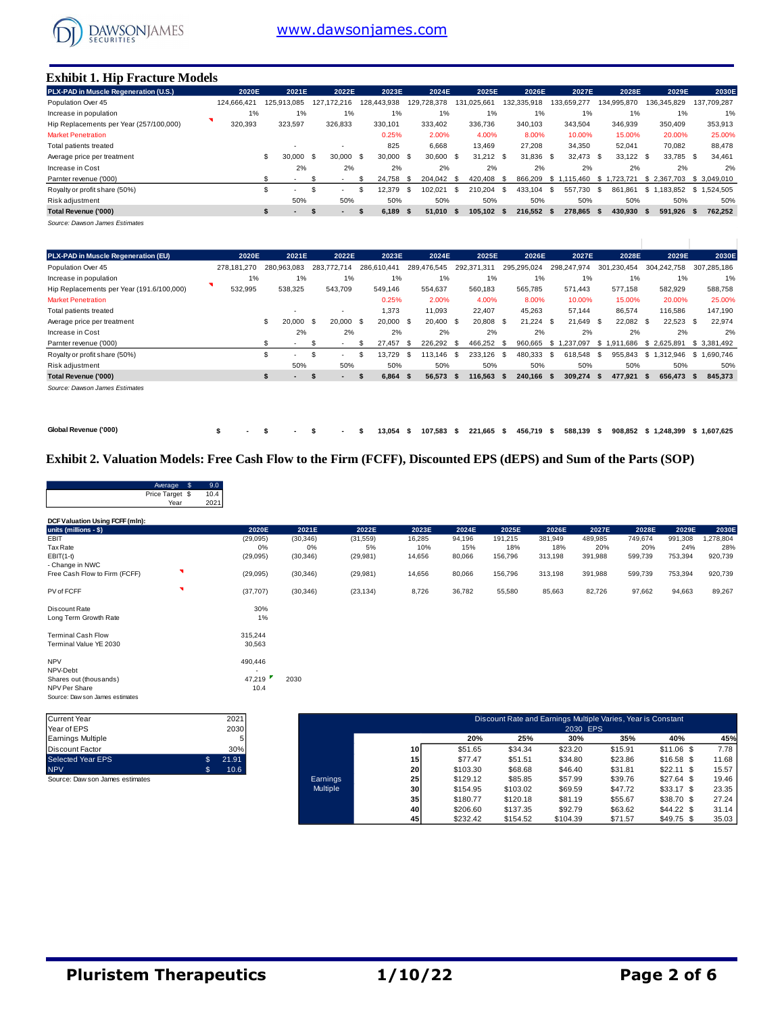

#### **Exhibit 1. Hip Fracture Models**

| PLX-PAD in Muscle Regeneration (U.S.).  | 2020E       | 2021E         | 2022E             | 2023E       | 2024E           | 2025E               | 2026E           | 2027E             | 2028E           | 2029E           | 2030E        |
|-----------------------------------------|-------------|---------------|-------------------|-------------|-----------------|---------------------|-----------------|-------------------|-----------------|-----------------|--------------|
| Population Over 45                      | 124.666.421 | 125.913.085   | 127.172.216       | 128.443.938 | 728.378<br>129. | 131.025.661         | 132.335.918     | 133.659.277       | 134.995.870     | 136.345.829     | 137.709.287  |
| Increase in population                  | 1%          | 1%            | 1%                | 1%          | 1%              | 1%                  | 1%              | 1%                | 1%              | 1%              | 1%           |
| Hip Replacements per Year (257/100,000) | 320,393     | 323,597       | 326,833           | 330,101     | 333.402         | 336,736             | 340.103         | 343,504           | 346,939         | 350,409         | 353,913      |
| <b>Market Penetration</b>               |             |               |                   | 0.25%       | 2.00%           | 4.00%               | 8.00%           | 10.00%            | 15.00%          | 20.00%          | 25.00%       |
| Total patients treated                  |             |               |                   | 825         | 6,668           | 13.469              | 27,208          | 34,350            | 52,041          | 70,082          | 88,478       |
| Average price per treatment             |             | \$<br>30.000  | 30,000 \$<br>- \$ | 30,000 \$   | 30.600          | $31.212$ \$<br>- \$ | 31.836          | 32.473 \$<br>- \$ | 33,122 \$       | 33,785 \$       | 34,461       |
| Increase in Cost                        |             | 2%            | 2%                | 2%          | 2%              | 2%                  | 2%              | 2%                | 2%              | 2%              | 2%           |
| Parnter revenue ('000)                  |             |               |                   | 24.758      | 204.042<br>- S  | 420.408<br>- \$     | 866.209<br>- \$ | .115.460<br>-S 1  | .723.721<br>- S | \$2.367.703     | \$ 3.049.010 |
| Royalty or profit share (50%)           |             | \$<br>. .     | ۰.                | 12.379      | 102.021<br>-86  | 210.204<br>-S       | 433.104<br>- \$ | - \$<br>557.730   | - \$<br>861.861 | \$1<br>.183.852 | \$1.524.505  |
| Risk adjustment                         |             | 50%           | 50%               | 50%         | 50%             | 50%                 | 50%             | 50%               | 50%             | 50%             | 50%          |
| Total Revenue ('000)                    |             | $\sim$<br>-55 | ъ                 | 6.189       | 51.010<br>Ŝ.    | 105.102 \$<br>- 55  | 216.552         | 278.865 \$<br>-S  | 430.930 \$      | 591.926 \$      | 762,252      |
|                                         |             |               |                   |             |                 |                     |                 |                   |                 |                 |              |

*Source: Dawson James Estimates*

| PLX-PAD in Muscle Regeneration (EU)       | 2020E       | 2021E         |      | 2022E       | 2023E       | 2024E             |                             | 2025E | 2026E       | 2027E           | 2028E              | 2029E               | 2030E       |
|-------------------------------------------|-------------|---------------|------|-------------|-------------|-------------------|-----------------------------|-------|-------------|-----------------|--------------------|---------------------|-------------|
| Population Over 45                        | 278.181.270 | 280.963.083   |      | 283.772.714 | 286.610.441 | 289.476.545       | 292.371<br>.31 <sup>′</sup> |       | 295.295.024 | 298,247,974     | 301,230,454        | 304,242,758         | 307.285.186 |
| Increase in population                    | 1%          | 1%            |      | 1%          | 1%          | 1%                |                             | $1\%$ | 1%          | 1%              | 1%                 | 1%                  | 1%          |
| Hip Replacements per Year (191.6/100,000) | 532,995     | 538,325       |      | 543,709     | 549,146     | 554,637           | 560,183                     |       | 565.785     | 571,443         | 577,158            | 582,929             | 588,758     |
| <b>Market Penetration</b>                 |             |               |      |             | 0.25%       | 2.00%             |                             | 4.00% | 8.00%       | 10.00%          | 15.00%             | 20.00%              | 25.00%      |
| Total patients treated                    |             |               |      |             | 1,373       | 11,093            | 22,407                      |       | 45,263      | 57,144          | 86,574             | 116,586             | 147.190     |
| Average price per treatment               |             | 20.000<br>\$. | - \$ | 20.000 S    | 20,000      | 20.400 \$<br>- \$ | 20,808                      | \$    | 21.224      | 21.649<br>- \$  | 22.082<br>- \$     | $22.523$ \$<br>- \$ | 22.974      |
| Increase in Cost                          |             | 2%            |      | 2%          | 2%          | 2%                |                             | 2%    | 2%          | 2%              | 2%                 | 2%                  | 2%          |
| Parnter revenue ('000)                    |             | $\sim$        | £.   |             | 27.457      | 226.292<br>- \$   | 466.252<br>- \$             | - \$  | 960,665     | 1.237.097<br>s. | .686<br>s.<br>1.91 | \$2.625.891         | \$3,381,492 |
| Royalty or profit share (50%)             |             | . .           | \$.  |             | 13.729      | 113.146<br>- \$   | 233.126<br>-S               | -\$   | 480.333     | 618.548<br>- \$ | 955.843<br>- \$    | \$.<br>1.312.946    | \$1.690.746 |
| Risk adjustment                           |             | 50%           |      | 50%         | 50%         | 50%               |                             | 50%   | 50%         | 50%             | 50%                | 50%                 | 50%         |
| Total Revenue ('000)                      |             |               | - 31 | $\sim$      | 6,864       | 56,573<br>- 5     | 116,563<br>-55              | - 55  | 240,166     | 309,274<br>- \$ | 477,921<br>- S     | 656,473<br>- 5      | 845,373     |
| Source: Dayson, James Fetimates           |             |               |      |             |             |                   |                             |       |             |                 |                    |                     |             |

*Source: Dawson James Estimates*

**Global Revenue ('000) \$ - \$ - \$ - \$ 13,054 \$ 107,583 \$ 221,665 \$ 456,719 \$ 588,139 \$ 908,852 \$ 1,248,399 \$ 1,607,625**

## **Exhibit 2. Valuation Models: Free Cash Flow to the Firm (FCFF), Discounted EPS (dEPS) and Sum of the Parts (SOP)**

|                                 | \$<br>Average<br>Price Target \$ | 9.0<br>10.4 |          |           |           |        |        |         |                                                              |         |         |         |           |
|---------------------------------|----------------------------------|-------------|----------|-----------|-----------|--------|--------|---------|--------------------------------------------------------------|---------|---------|---------|-----------|
|                                 | Year                             | 2021        |          |           |           |        |        |         |                                                              |         |         |         |           |
| DCF Valuation Using FCFF (mln): |                                  |             |          |           |           |        |        |         |                                                              |         |         |         |           |
| units (millions - \$)           |                                  |             | 2020E    | 2021E     | 2022E     | 2023E  | 2024E  | 2025E   | 2026E                                                        | 2027E   | 2028E   | 2029E   | 2030E     |
| EBIT                            |                                  |             | (29,095) | (30, 346) | (31, 559) | 16,285 | 94,196 | 191,215 | 381,949                                                      | 489,985 | 749,674 | 991,308 | 1,278,804 |
| Tax Rate                        |                                  |             | 0%       | 0%        | 5%        | 10%    | 15%    | 18%     | 18%                                                          | 20%     | 20%     | 24%     | 28%       |
| $EBIT(1-t)$                     |                                  |             | (29,095) | (30, 346) | (29, 981) | 14,656 | 80,066 | 156,796 | 313,198                                                      | 391,988 | 599,739 | 753,394 | 920,739   |
| - Change in NWC                 |                                  |             |          |           |           |        |        |         |                                                              |         |         |         |           |
| Free Cash Flow to Firm (FCFF)   | я                                |             | (29,095) | (30, 346) | (29, 981) | 14,656 | 80,066 | 156,796 | 313,198                                                      | 391,988 | 599,739 | 753,394 | 920,739   |
| PV of FCFF                      | я                                |             | (37,707) | (30, 346) | (23, 134) | 8,726  | 36,782 | 55,580  | 85,663                                                       | 82,726  | 97,662  | 94,663  | 89,267    |
| Discount Rate                   |                                  |             | 30%      |           |           |        |        |         |                                                              |         |         |         |           |
| Long Term Growth Rate           |                                  |             | 1%       |           |           |        |        |         |                                                              |         |         |         |           |
| <b>Terminal Cash Flow</b>       |                                  |             | 315,244  |           |           |        |        |         |                                                              |         |         |         |           |
| Terminal Value YE 2030          |                                  |             | 30,563   |           |           |        |        |         |                                                              |         |         |         |           |
| <b>NPV</b>                      |                                  |             | 490,446  |           |           |        |        |         |                                                              |         |         |         |           |
| NPV-Debt                        |                                  |             |          |           |           |        |        |         |                                                              |         |         |         |           |
| Shares out (thousands)          |                                  |             | 47,219   | 2030      |           |        |        |         |                                                              |         |         |         |           |
| NPV Per Share                   |                                  |             | 10.4     |           |           |        |        |         |                                                              |         |         |         |           |
| Source: Daw son James estimates |                                  |             |          |           |           |        |        |         |                                                              |         |         |         |           |
|                                 |                                  |             |          |           |           |        |        |         |                                                              |         |         |         |           |
| Currant Vaar                    |                                  |             | 2021     |           |           |        |        |         | Discount Rate and Farnings Multiple Varies, Vear is Constant |         |         |         |           |

| Current Year                    | 2021        |
|---------------------------------|-------------|
| Year of EPS                     | 2030        |
| Earnings Multiple               | 5           |
| Discount Factor                 | 30%         |
| <b>Selected Year EPS</b>        | \$<br>21.91 |
| <b>NPV</b>                      | \$<br>10.6  |
| Source: Daw son James estimates |             |

| Current Year                    | 2021       |                 | Discount Rate and Earnings Multiple Varies, Year is Constant |          |          |          |         |             |       |  |  |  |
|---------------------------------|------------|-----------------|--------------------------------------------------------------|----------|----------|----------|---------|-------------|-------|--|--|--|
| Year of EPS                     | 2030       |                 |                                                              |          |          | 2030 EPS |         |             |       |  |  |  |
| Earnings Multiple               |            |                 |                                                              | 20%      | 25%      | 30%      | 35%     | 40%         | 45%   |  |  |  |
| Discount Factor                 | 30%        |                 | 10 <sup>1</sup>                                              | \$51.65  | \$34.34  | \$23.20  | \$15.91 | $$11.06$ \$ | 7.78  |  |  |  |
| Selected Year EPS               | 21.91      |                 | 15                                                           | \$77.47  | \$51.51  | \$34.80  | \$23.86 | $$16.58$ \$ | 11.68 |  |  |  |
| <b>NPV</b>                      | \$<br>10.6 |                 | 20                                                           | \$103.30 | \$68.68  | \$46.40  | \$31.81 | $$22.11$ \$ | 15.57 |  |  |  |
| Source: Daw son James estimates |            | Earnings        | 25 <sub>l</sub>                                              | \$129.12 | \$85.85  | \$57.99  | \$39.76 | $$27.64$ \$ | 19.46 |  |  |  |
|                                 |            | <b>Multiple</b> | 30 <sup>1</sup>                                              | \$154.95 | \$103.02 | \$69.59  | \$47.72 | $$33.17$ \$ | 23.35 |  |  |  |
|                                 |            |                 | 35                                                           | \$180.77 | \$120.18 | \$81.19  | \$55.67 | \$38.70 \$  | 27.24 |  |  |  |
|                                 |            |                 | 40                                                           | \$206.60 | \$137.35 | \$92.79  | \$63.62 | $$44.22$ \$ | 31.14 |  |  |  |
|                                 |            |                 | 45                                                           | \$232.42 | \$154.52 | \$104.39 | \$71.57 | $$49.75$ \$ | 35.03 |  |  |  |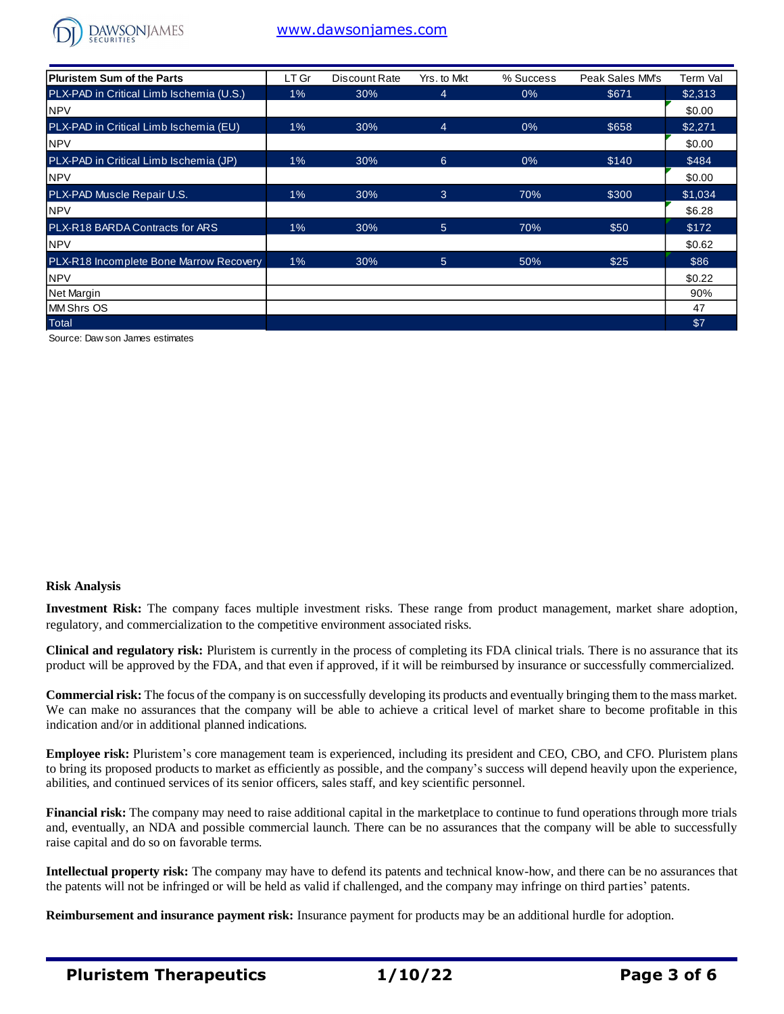

# [www.dawsonjames.com](http://www.dawsonjames.com/)

| Pluristem Sum of the Parts               | LT Gr | Discount Rate | Yrs. to Mkt | % Success | Peak Sales MM's | Term Val |
|------------------------------------------|-------|---------------|-------------|-----------|-----------------|----------|
| PLX-PAD in Critical Limb Ischemia (U.S.) | $1\%$ | 30%           | 4           | $0\%$     | \$671           | \$2,313  |
| <b>NPV</b>                               |       |               |             |           |                 | \$0.00   |
| PLX-PAD in Critical Limb Ischemia (EU)   | 1%    | 30%           | 4           | 0%        | \$658           | \$2,271  |
| <b>NPV</b>                               |       |               |             |           |                 | \$0.00   |
| PLX-PAD in Critical Limb Ischemia (JP)   | $1\%$ | 30%           | 6           | 0%        | \$140           | \$484    |
| <b>NPV</b>                               |       |               |             |           |                 | \$0.00   |
| <b>PLX-PAD Muscle Repair U.S.</b>        | 1%    | 30%           | 3           | 70%       | \$300           | \$1,034  |
| <b>NPV</b>                               |       |               |             |           |                 | \$6.28   |
| PLX-R18 BARDA Contracts for ARS          | $1\%$ | 30%           | 5           | 70%       | \$50            | \$172    |
| <b>NPV</b>                               |       |               |             |           |                 | \$0.62   |
| PLX-R18 Incomplete Bone Marrow Recovery  | $1\%$ | 30%           | 5           | 50%       | \$25            | \$86     |
| <b>NPV</b>                               |       |               |             |           |                 | \$0.22   |
| Net Margin                               |       |               |             |           |                 | 90%      |
| <b>MM Shrs OS</b>                        |       |               |             |           |                 | 47       |
| Total                                    |       |               |             |           |                 | \$7      |

Source: Daw son James estimates

#### **Risk Analysis**

**Investment Risk:** The company faces multiple investment risks. These range from product management, market share adoption, regulatory, and commercialization to the competitive environment associated risks.

**Clinical and regulatory risk:** Pluristem is currently in the process of completing its FDA clinical trials. There is no assurance that its product will be approved by the FDA, and that even if approved, if it will be reimbursed by insurance or successfully commercialized.

**Commercial risk:** The focus of the company is on successfully developing its products and eventually bringing them to the mass market. We can make no assurances that the company will be able to achieve a critical level of market share to become profitable in this indication and/or in additional planned indications.

**Employee risk:** Pluristem's core management team is experienced, including its president and CEO, CBO, and CFO. Pluristem plans to bring its proposed products to market as efficiently as possible, and the company's success will depend heavily upon the experience, abilities, and continued services of its senior officers, sales staff, and key scientific personnel.

**Financial risk:** The company may need to raise additional capital in the marketplace to continue to fund operations through more trials and, eventually, an NDA and possible commercial launch. There can be no assurances that the company will be able to successfully raise capital and do so on favorable terms.

**Intellectual property risk:** The company may have to defend its patents and technical know-how, and there can be no assurances that the patents will not be infringed or will be held as valid if challenged, and the company may infringe on third parties' patents.

**Reimbursement and insurance payment risk:** Insurance payment for products may be an additional hurdle for adoption.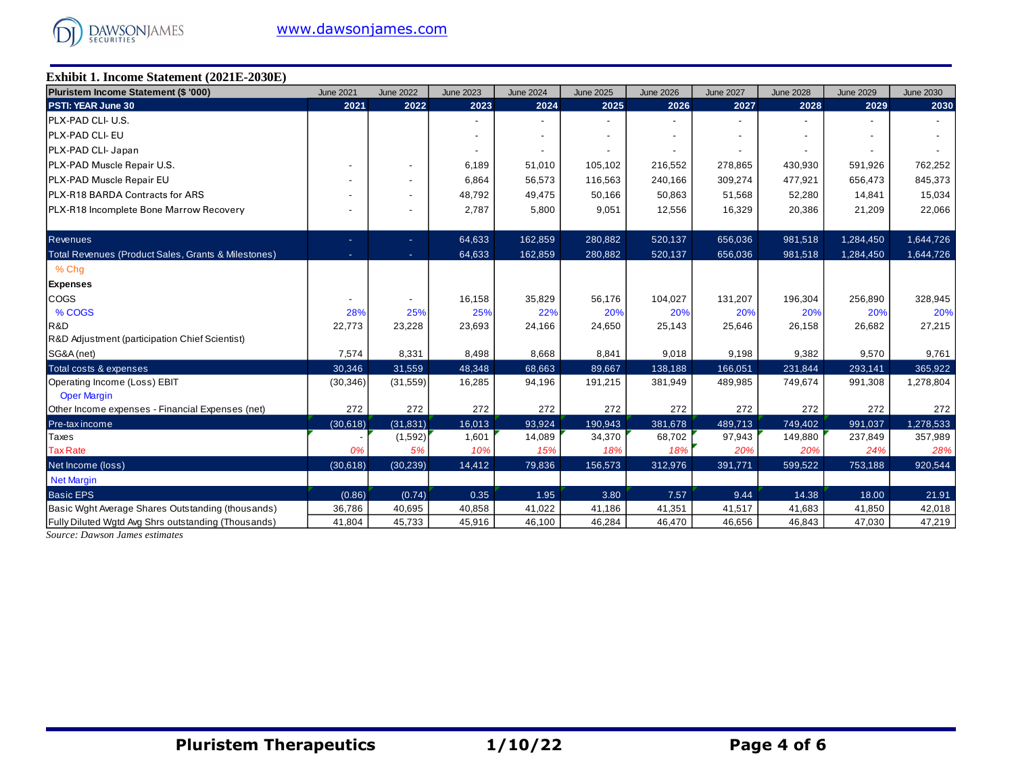

## **Exhibit 1. Income Statement (2021E-2030E)**

| Pluristem Income Statement (\$ '000)                       | <b>June 2021</b> | <b>June 2022</b> | <b>June 2023</b> | <b>June 2024</b> | <b>June 2025</b> | <b>June 2026</b> | <b>June 2027</b> | <b>June 2028</b> | <b>June 2029</b> | <b>June 2030</b> |
|------------------------------------------------------------|------------------|------------------|------------------|------------------|------------------|------------------|------------------|------------------|------------------|------------------|
| PSTI: YEAR June 30                                         | 2021             | 2022             | 2023             | 2024             | 2025             | 2026             | 2027             | 2028             | 2029             | 2030             |
| <b>IPLX-PAD CLI- U.S.</b>                                  |                  |                  |                  |                  |                  |                  |                  |                  |                  |                  |
| <b>PLX-PAD CLI-EU</b>                                      |                  |                  |                  |                  |                  |                  |                  |                  |                  |                  |
| PLX-PAD CLI- Japan                                         |                  |                  |                  |                  |                  |                  |                  |                  |                  |                  |
| PLX-PAD Muscle Repair U.S.                                 |                  |                  | 6,189            | 51,010           | 105,102          | 216,552          | 278,865          | 430,930          | 591,926          | 762,252          |
| <b>PLX-PAD Muscle Repair EU</b>                            |                  |                  | 6,864            | 56,573           | 116,563          | 240,166          | 309,274          | 477,921          | 656,473          | 845,373          |
| <b>PLX-R18 BARDA Contracts for ARS</b>                     |                  |                  | 48,792           | 49,475           | 50,166           | 50,863           | 51,568           | 52,280           | 14,841           | 15,034           |
| <b>PLX-R18 Incomplete Bone Marrow Recovery</b>             |                  |                  | 2,787            | 5,800            | 9,051            | 12,556           | 16,329           | 20,386           | 21,209           | 22,066           |
| <b>Revenues</b>                                            |                  | ÷.               | 64,633           | 162,859          | 280,882          | 520,137          | 656,036          | 981,518          | 1,284,450        | 1,644,726        |
| Total Revenues (Product Sales, Grants & Milestones)        |                  | $\sim$           | 64,633           | 162,859          | 280,882          | 520,137          | 656,036          | 981,518          | 1,284,450        | 1,644,726        |
| % Chg                                                      |                  |                  |                  |                  |                  |                  |                  |                  |                  |                  |
| <b>Expenses</b>                                            |                  |                  |                  |                  |                  |                  |                  |                  |                  |                  |
| <b>COGS</b>                                                |                  |                  | 16,158           | 35,829           | 56,176           | 104,027          | 131,207          | 196,304          | 256,890          | 328,945          |
| % COGS                                                     | 28%              | 25%              | 25%              | 22%              | 20%              | 20%              | 20%              | 20%              | 20%              | 20%              |
| R&D                                                        | 22,773           | 23,228           | 23,693           | 24,166           | 24,650           | 25,143           | 25,646           | 26,158           | 26,682           | 27,215           |
| R&D Adjustment (participation Chief Scientist)             |                  |                  |                  |                  |                  |                  |                  |                  |                  |                  |
| SG&A (net)                                                 | 7,574            | 8,331            | 8,498            | 8,668            | 8,841            | 9,018            | 9,198            | 9,382            | 9,570            | 9,761            |
| Total costs & expenses                                     | 30,346           | 31,559           | 48,348           | 68,663           | 89,667           | 138,188          | 166,051          | 231,844          | 293,141          | 365,922          |
| Operating Income (Loss) EBIT                               | (30, 346)        | (31, 559)        | 16,285           | 94,196           | 191,215          | 381,949          | 489,985          | 749,674          | 991,308          | 1,278,804        |
| <b>Oper Margin</b>                                         |                  |                  |                  |                  |                  |                  |                  |                  |                  |                  |
| Other Income expenses - Financial Expenses (net)           | 272              | 272              | 272              | 272              | 272              | 272              | 272              | 272              | 272              | 272              |
| Pre-tax income                                             | (30,618)         | (31, 831)        | 16,013           | 93,924           | 190,943          | 381,678          | 489,713          | 749,402          | 991,037          | 1,278,533        |
| Taxes                                                      |                  | (1,592)          | 1,601            | 14,089           | 34,370           | 68,702           | 97,943           | 149,880          | 237,849          | 357,989          |
| <b>Tax Rate</b>                                            | 0%               | 5%               | 10%              | 15%              | 18%              | 18%              | 20%              | 20%              | 24%              | 28%              |
| Net Income (loss)                                          | (30,618)         | (30, 239)        | 14,412           | 79,836           | 156,573          | 312,976          | 391,771          | 599,522          | 753,188          | 920,544          |
| <b>Net Margin</b>                                          |                  |                  |                  |                  |                  |                  |                  |                  |                  |                  |
| <b>Basic EPS</b>                                           | (0.86)           | (0.74)           | 0.35             | 1.95             | 3.80             | 7.57             | 9.44             | 14.38            | 18.00            | 21.91            |
| Basic Wght Average Shares Outstanding (thousands)          | 36,786           | 40,695           | 40,858           | 41,022           | 41,186           | 41,351           | 41,517           | 41,683           | 41,850           | 42,018           |
| <b>Fully Diluted Watd Avg Shrs outstanding (Thousands)</b> | 41,804           | 45,733           | 45,916           | 46,100           | 46,284           | 46,470           | 46,656           | 46,843           | 47,030           | 47,219           |

*Source: Dawson James estimates*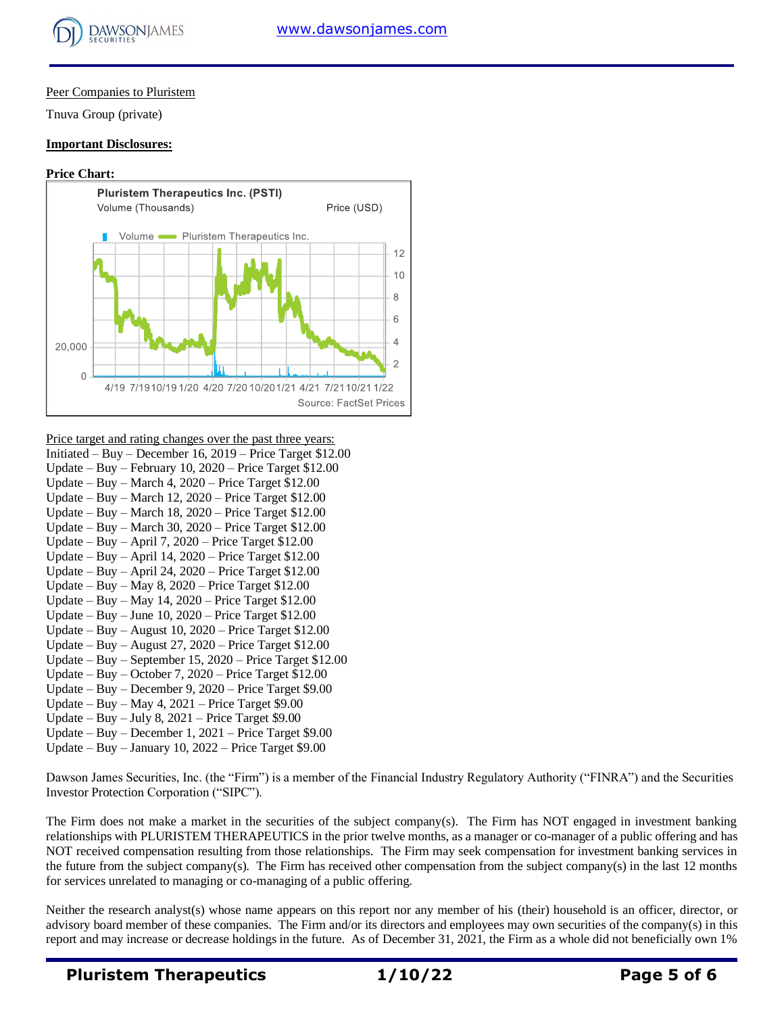

## Peer Companies to Pluristem

Tnuva Group (private)

### **Important Disclosures:**

#### **Price Chart:**



Price target and rating changes over the past three years:

- Initiated Buy December 16, 2019 Price Target \$12.00 Update – Buy – February 10, 2020 – Price Target \$12.00 Update – Buy – March 4,  $2020$  – Price Target \$12.00 Update – Buy – March 12, 2020 – Price Target \$12.00 Update – Buy – March 18, 2020 – Price Target \$12.00 Update – Buy – March 30, 2020 – Price Target \$12.00 Update – Buy – April 7, 2020 – Price Target \$12.00 Update – Buy – April 14, 2020 – Price Target \$12.00 Update – Buy – April 24, 2020 – Price Target \$12.00 Update – Buy – May 8,  $2020$  – Price Target \$12.00 Update – Buy – May 14, 2020 – Price Target \$12.00 Update – Buy – June 10, 2020 – Price Target \$12.00 Update – Buy – August 10, 2020 – Price Target \$12.00 Update – Buy – August 27, 2020 – Price Target \$12.00 Update – Buy – September 15, 2020 – Price Target \$12.00 Update – Buy – October 7, 2020 – Price Target \$12.00 Update – Buy – December 9, 2020 – Price Target \$9.00 Update – Buy – May 4, 2021 – Price Target \$9.00 Update – Buy – July 8, 2021 – Price Target \$9.00
- Update Buy December 1, 2021 Price Target \$9.00
- Update Buy January 10, 2022 Price Target \$9.00

Dawson James Securities, Inc. (the "Firm") is a member of the Financial Industry Regulatory Authority ("FINRA") and the Securities Investor Protection Corporation ("SIPC").

The Firm does not make a market in the securities of the subject company(s). The Firm has NOT engaged in investment banking relationships with PLURISTEM THERAPEUTICS in the prior twelve months, as a manager or co-manager of a public offering and has NOT received compensation resulting from those relationships. The Firm may seek compensation for investment banking services in the future from the subject company(s). The Firm has received other compensation from the subject company(s) in the last 12 months for services unrelated to managing or co-managing of a public offering.

Neither the research analyst(s) whose name appears on this report nor any member of his (their) household is an officer, director, or advisory board member of these companies. The Firm and/or its directors and employees may own securities of the company(s) in this report and may increase or decrease holdings in the future. As of December 31, 2021, the Firm as a whole did not beneficially own 1%